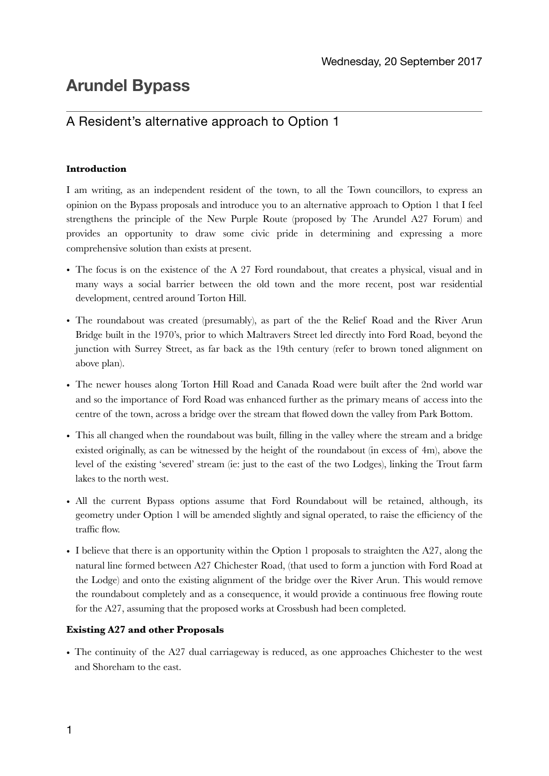# **Arundel Bypass**

## A Resident's alternative approach to Option 1

## **Introduction**

I am writing, as an independent resident of the town, to all the Town councillors, to express an opinion on the Bypass proposals and introduce you to an alternative approach to Option 1 that I feel strengthens the principle of the New Purple Route (proposed by The Arundel A27 Forum) and provides an opportunity to draw some civic pride in determining and expressing a more comprehensive solution than exists at present.

- The focus is on the existence of the A 27 Ford roundabout, that creates a physical, visual and in many ways a social barrier between the old town and the more recent, post war residential development, centred around Torton Hill.
- The roundabout was created (presumably), as part of the the Relief Road and the River Arun Bridge built in the 1970's, prior to which Maltravers Street led directly into Ford Road, beyond the junction with Surrey Street, as far back as the 19th century (refer to brown toned alignment on above plan).
- The newer houses along Torton Hill Road and Canada Road were built after the 2nd world war and so the importance of Ford Road was enhanced further as the primary means of access into the centre of the town, across a bridge over the stream that flowed down the valley from Park Bottom.
- This all changed when the roundabout was built, filling in the valley where the stream and a bridge existed originally, as can be witnessed by the height of the roundabout (in excess of 4m), above the level of the existing 'severed' stream (ie: just to the east of the two Lodges), linking the Trout farm lakes to the north west.
- All the current Bypass options assume that Ford Roundabout will be retained, although, its geometry under Option 1 will be amended slightly and signal operated, to raise the efficiency of the traffic flow.
- I believe that there is an opportunity within the Option 1 proposals to straighten the A27, along the natural line formed between A27 Chichester Road, (that used to form a junction with Ford Road at the Lodge) and onto the existing alignment of the bridge over the River Arun. This would remove the roundabout completely and as a consequence, it would provide a continuous free flowing route for the A27, assuming that the proposed works at Crossbush had been completed.

## **Existing A27 and other Proposals**

• The continuity of the A27 dual carriageway is reduced, as one approaches Chichester to the west and Shoreham to the east.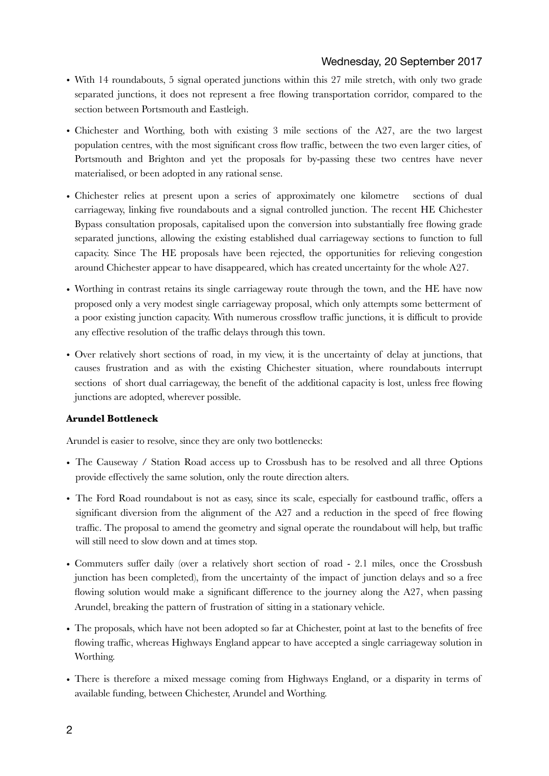- With 14 roundabouts, 5 signal operated junctions within this 27 mile stretch, with only two grade separated junctions, it does not represent a free flowing transportation corridor, compared to the section between Portsmouth and Eastleigh.
- Chichester and Worthing, both with existing 3 mile sections of the A27, are the two largest population centres, with the most significant cross flow traffic, between the two even larger cities, of Portsmouth and Brighton and yet the proposals for by-passing these two centres have never materialised, or been adopted in any rational sense.
- Chichester relies at present upon a series of approximately one kilometre sections of dual carriageway, linking five roundabouts and a signal controlled junction. The recent HE Chichester Bypass consultation proposals, capitalised upon the conversion into substantially free flowing grade separated junctions, allowing the existing established dual carriageway sections to function to full capacity. Since The HE proposals have been rejected, the opportunities for relieving congestion around Chichester appear to have disappeared, which has created uncertainty for the whole A27.
- Worthing in contrast retains its single carriageway route through the town, and the HE have now proposed only a very modest single carriageway proposal, which only attempts some betterment of a poor existing junction capacity. With numerous crossflow traffic junctions, it is difficult to provide any effective resolution of the traffic delays through this town.
- Over relatively short sections of road, in my view, it is the uncertainty of delay at junctions, that causes frustration and as with the existing Chichester situation, where roundabouts interrupt sections of short dual carriageway, the benefit of the additional capacity is lost, unless free flowing junctions are adopted, wherever possible.

## **Arundel Bottleneck**

Arundel is easier to resolve, since they are only two bottlenecks:

- The Causeway / Station Road access up to Crossbush has to be resolved and all three Options provide effectively the same solution, only the route direction alters.
- The Ford Road roundabout is not as easy, since its scale, especially for eastbound traffic, offers a significant diversion from the alignment of the A27 and a reduction in the speed of free flowing traffic. The proposal to amend the geometry and signal operate the roundabout will help, but traffic will still need to slow down and at times stop.
- Commuters suffer daily (over a relatively short section of road 2.1 miles, once the Crossbush junction has been completed), from the uncertainty of the impact of junction delays and so a free flowing solution would make a significant difference to the journey along the A27, when passing Arundel, breaking the pattern of frustration of sitting in a stationary vehicle.
- The proposals, which have not been adopted so far at Chichester, point at last to the benefits of free flowing traffic, whereas Highways England appear to have accepted a single carriageway solution in Worthing.
- There is therefore a mixed message coming from Highways England, or a disparity in terms of available funding, between Chichester, Arundel and Worthing.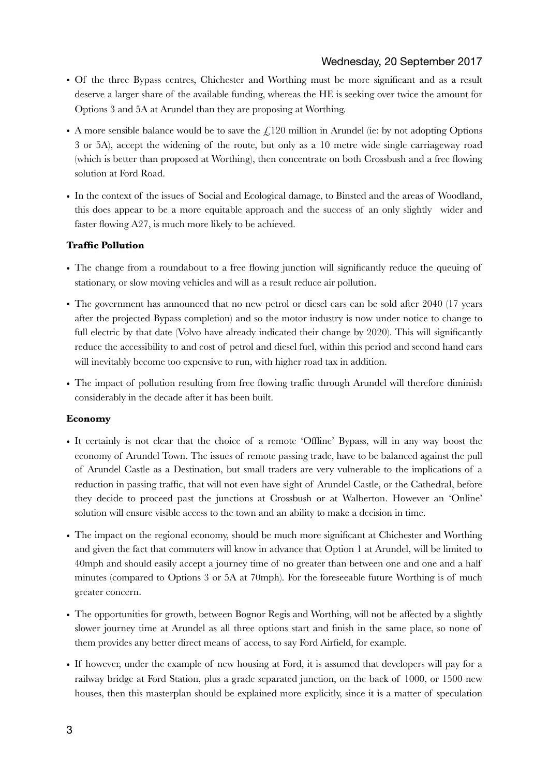- Of the three Bypass centres, Chichester and Worthing must be more significant and as a result deserve a larger share of the available funding, whereas the HE is seeking over twice the amount for Options 3 and 5A at Arundel than they are proposing at Worthing.
- A more sensible balance would be to save the  $\mathcal{L}120$  million in Arundel (ie: by not adopting Options 3 or 5A), accept the widening of the route, but only as a 10 metre wide single carriageway road (which is better than proposed at Worthing), then concentrate on both Crossbush and a free flowing solution at Ford Road.
- In the context of the issues of Social and Ecological damage, to Binsted and the areas of Woodland, this does appear to be a more equitable approach and the success of an only slightly wider and faster flowing A27, is much more likely to be achieved.

## **Traffic Pollution**

- The change from a roundabout to a free flowing junction will significantly reduce the queuing of stationary, or slow moving vehicles and will as a result reduce air pollution.
- The government has announced that no new petrol or diesel cars can be sold after 2040 (17 years after the projected Bypass completion) and so the motor industry is now under notice to change to full electric by that date (Volvo have already indicated their change by 2020). This will significantly reduce the accessibility to and cost of petrol and diesel fuel, within this period and second hand cars will inevitably become too expensive to run, with higher road tax in addition.
- The impact of pollution resulting from free flowing traffic through Arundel will therefore diminish considerably in the decade after it has been built.

## **Economy**

- It certainly is not clear that the choice of a remote 'Offline' Bypass, will in any way boost the economy of Arundel Town. The issues of remote passing trade, have to be balanced against the pull of Arundel Castle as a Destination, but small traders are very vulnerable to the implications of a reduction in passing traffic, that will not even have sight of Arundel Castle, or the Cathedral, before they decide to proceed past the junctions at Crossbush or at Walberton. However an 'Online' solution will ensure visible access to the town and an ability to make a decision in time.
- The impact on the regional economy, should be much more significant at Chichester and Worthing and given the fact that commuters will know in advance that Option 1 at Arundel, will be limited to 40mph and should easily accept a journey time of no greater than between one and one and a half minutes (compared to Options 3 or 5A at 70mph). For the foreseeable future Worthing is of much greater concern.
- The opportunities for growth, between Bognor Regis and Worthing, will not be affected by a slightly slower journey time at Arundel as all three options start and finish in the same place, so none of them provides any better direct means of access, to say Ford Airfield, for example.
- If however, under the example of new housing at Ford, it is assumed that developers will pay for a railway bridge at Ford Station, plus a grade separated junction, on the back of 1000, or 1500 new houses, then this masterplan should be explained more explicitly, since it is a matter of speculation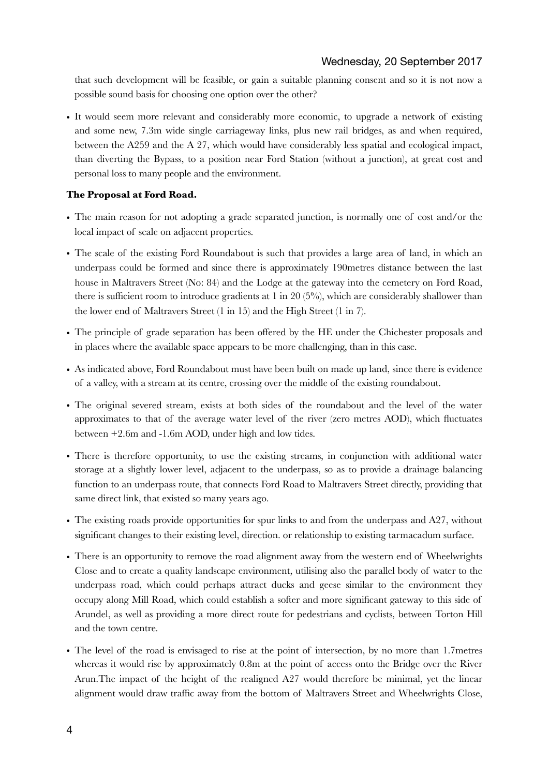that such development will be feasible, or gain a suitable planning consent and so it is not now a possible sound basis for choosing one option over the other?

• It would seem more relevant and considerably more economic, to upgrade a network of existing and some new, 7.3m wide single carriageway links, plus new rail bridges, as and when required, between the A259 and the A 27, which would have considerably less spatial and ecological impact, than diverting the Bypass, to a position near Ford Station (without a junction), at great cost and personal loss to many people and the environment.

#### **The Proposal at Ford Road.**

- The main reason for not adopting a grade separated junction, is normally one of cost and/or the local impact of scale on adjacent properties.
- The scale of the existing Ford Roundabout is such that provides a large area of land, in which an underpass could be formed and since there is approximately 190metres distance between the last house in Maltravers Street (No: 84) and the Lodge at the gateway into the cemetery on Ford Road, there is sufficient room to introduce gradients at 1 in 20 (5%), which are considerably shallower than the lower end of Maltravers Street (1 in 15) and the High Street (1 in 7).
- The principle of grade separation has been offered by the HE under the Chichester proposals and in places where the available space appears to be more challenging, than in this case.
- As indicated above, Ford Roundabout must have been built on made up land, since there is evidence of a valley, with a stream at its centre, crossing over the middle of the existing roundabout.
- The original severed stream, exists at both sides of the roundabout and the level of the water approximates to that of the average water level of the river (zero metres AOD), which fluctuates between +2.6m and -1.6m AOD, under high and low tides.
- There is therefore opportunity, to use the existing streams, in conjunction with additional water storage at a slightly lower level, adjacent to the underpass, so as to provide a drainage balancing function to an underpass route, that connects Ford Road to Maltravers Street directly, providing that same direct link, that existed so many years ago.
- The existing roads provide opportunities for spur links to and from the underpass and A27, without significant changes to their existing level, direction. or relationship to existing tarmacadum surface.
- There is an opportunity to remove the road alignment away from the western end of Wheelwrights Close and to create a quality landscape environment, utilising also the parallel body of water to the underpass road, which could perhaps attract ducks and geese similar to the environment they occupy along Mill Road, which could establish a softer and more significant gateway to this side of Arundel, as well as providing a more direct route for pedestrians and cyclists, between Torton Hill and the town centre.
- The level of the road is envisaged to rise at the point of intersection, by no more than 1.7 metres whereas it would rise by approximately 0.8m at the point of access onto the Bridge over the River Arun.The impact of the height of the realigned A27 would therefore be minimal, yet the linear alignment would draw traffic away from the bottom of Maltravers Street and Wheelwrights Close,